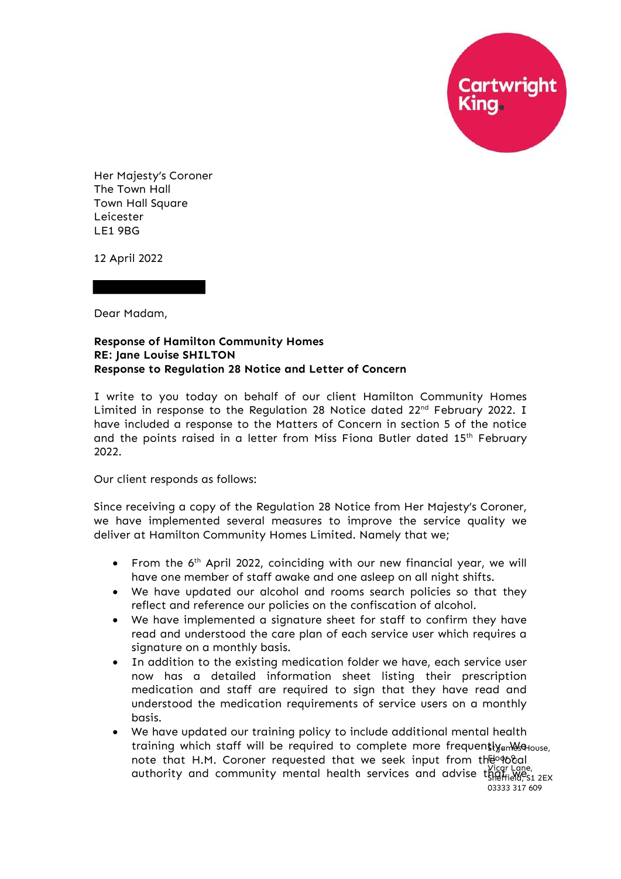**Cartwright**<br>King

Her Majesty's Coroner The Town Hall Town Hall Square Leicester LE1 9BG

12 April 2022

Dear Madam,

## **Response of Hamilton Community Homes RE: Jane Louise SHILTON Response to Regulation 28 Notice and Letter of Concern**

I write to you today on behalf of our client Hamilton Community Homes Limited in response to the Regulation 28 Notice dated 22<sup>nd</sup> February 2022. I have included a response to the Matters of Concern in section 5 of the notice and the points raised in a letter from Miss Fiona Butler dated 15<sup>th</sup> February 2022.

Our client responds as follows:

Since receiving a copy of the Regulation 28 Notice from Her Majesty's Coroner, we have implemented several measures to improve the service quality we deliver at Hamilton Community Homes Limited. Namely that we;

- From the 6<sup>th</sup> April 2022, coinciding with our new financial year, we will have one member of staff awake and one asleep on all night shifts.
- We have updated our alcohol and rooms search policies so that they reflect and reference our policies on the confiscation of alcohol.
- We have implemented a signature sheet for staff to confirm they have read and understood the care plan of each service user which requires a signature on a monthly basis.
- In addition to the existing medication folder we have, each service user now has a detailed information sheet listing their prescription medication and staff are required to sign that they have read and understood the medication requirements of service users on a monthly basis.
- We have updated our training policy to include additional mental health training which staff will be required to complete more frequentlyam& House, note that H.M. Coroner requested that we seek input from the order authority and community mental health services and advise that wice Lane, Sheffield, S1 2EX 03333 317 609